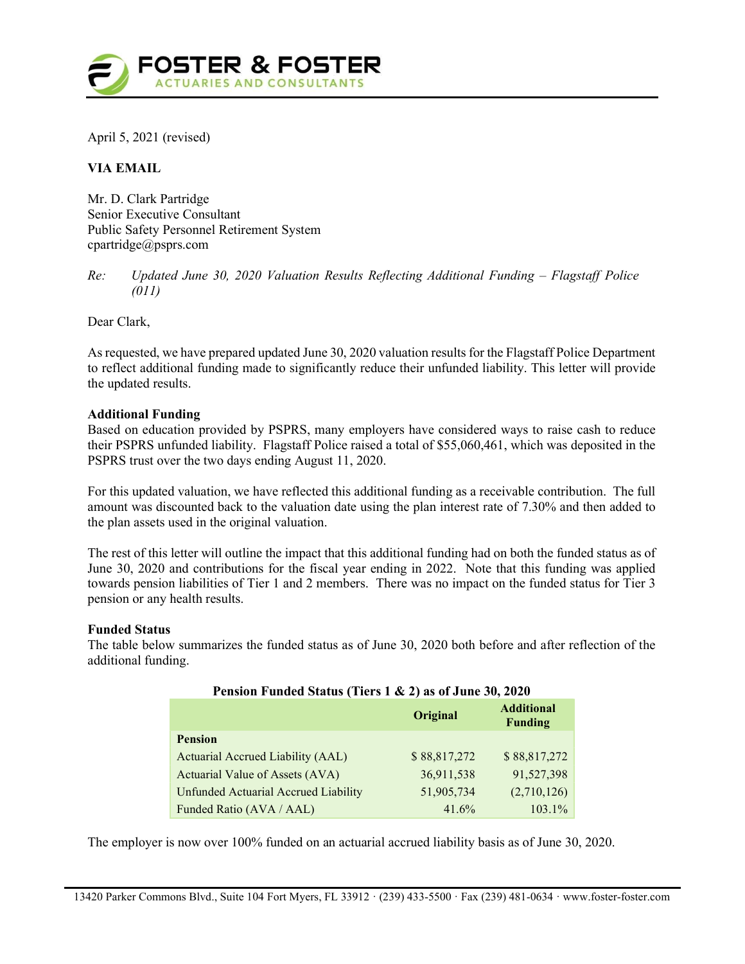

April 5, 2021 (revised)

# VIA EMAIL

Mr. D. Clark Partridge Senior Executive Consultant Public Safety Personnel Retirement System cpartridge@psprs.com

Re: Updated June 30, 2020 Valuation Results Reflecting Additional Funding – Flagstaff Police (011)

Dear Clark,

As requested, we have prepared updated June 30, 2020 valuation results for the Flagstaff Police Department to reflect additional funding made to significantly reduce their unfunded liability. This letter will provide the updated results.

## Additional Funding

Based on education provided by PSPRS, many employers have considered ways to raise cash to reduce their PSPRS unfunded liability. Flagstaff Police raised a total of \$55,060,461, which was deposited in the PSPRS trust over the two days ending August 11, 2020.

For this updated valuation, we have reflected this additional funding as a receivable contribution. The full amount was discounted back to the valuation date using the plan interest rate of 7.30% and then added to the plan assets used in the original valuation.

The rest of this letter will outline the impact that this additional funding had on both the funded status as of June 30, 2020 and contributions for the fiscal year ending in 2022. Note that this funding was applied towards pension liabilities of Tier 1 and 2 members. There was no impact on the funded status for Tier 3 pension or any health results.

### Funded Status

The table below summarizes the funded status as of June 30, 2020 both before and after reflection of the additional funding.

| Pension Funded Status (Tiers 1 & 2) as of June 30, 2020 |              |                                     |  |
|---------------------------------------------------------|--------------|-------------------------------------|--|
|                                                         | Original     | <b>Additional</b><br><b>Funding</b> |  |
| <b>Pension</b>                                          |              |                                     |  |
| Actuarial Accrued Liability (AAL)                       | \$88,817,272 | \$88,817,272                        |  |
| Actuarial Value of Assets (AVA)                         | 36,911,538   | 91,527,398                          |  |
| <b>Unfunded Actuarial Accrued Liability</b>             | 51,905,734   | (2,710,126)                         |  |
| Funded Ratio (AVA / AAL)                                | 41.6%        | 103.1%                              |  |

The employer is now over 100% funded on an actuarial accrued liability basis as of June 30, 2020.